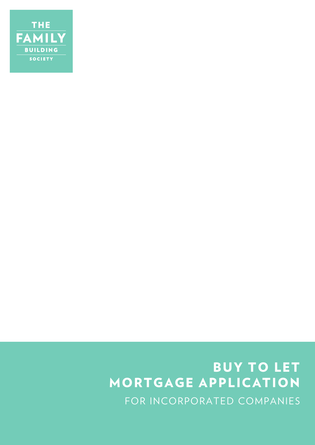

# BUY TO LET MORTGAGE APPLICATION FOR INCORPORATED COMPANIES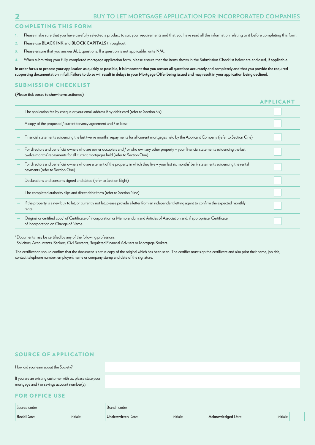APPLICANT

#### COMPLETING THIS FORM

- **1.** Please make sure that you have carefully selected a product to suit your requirements and that you have read all the information relating to it before completing this form.
- **2.** Please use **BLACK INK** and **BLOCK CAPITALS** throughout.
- **3.** Please ensure that you answer **ALL** questions. If a question is not applicable, write N/A.
- **4.** When submitting your fully completed mortgage application form, please ensure that the items shown in the Submission Checklist below are enclosed, if applicable.

**In order for us to process your application as quickly as possible, it is important that you answer all questions accurately and completely and that you provide the required supporting documentation in full. Failure to do so will result in delays in your Mortgage Offer being issued and may result in your application being declined.**

#### SUBMISSION CHECKLIST

#### **(Please tick boxes to show items actioned)**

| The application fee by cheque or your email address if by debit card (refer to Section Six)                                                                                                                                        |  |
|------------------------------------------------------------------------------------------------------------------------------------------------------------------------------------------------------------------------------------|--|
| A copy of the proposed / current tenancy agreement and / or lease                                                                                                                                                                  |  |
| Financial statements evidencing the last twelve months' repayments for all current mortgages held by the Applicant Company (refer to Section One)                                                                                  |  |
| For directors and beneficial owners who are owner occupiers and / or who own any other property – your financial statements evidencing the last<br>twelve months' repayments for all current mortgages held (refer to Section One) |  |
| For directors and beneficial owners who are a tenant of the property in which they live – your last six months' bank statements evidencing the rental<br>payments (refer to Section One)                                           |  |
| Declarations and consents signed and dated (refer to Section Eight)                                                                                                                                                                |  |
| The completed authority slips and direct debit form (refer to Section Nine)                                                                                                                                                        |  |
| If the property is a new buy to let, or currently not let, please provide a letter from an independent letting agent to confirm the expected monthly<br>rental                                                                     |  |
| Original or certified copy <sup>1</sup> of Certificate of Incorporation or Memorandum and Articles of Association and, if appropriate, Certificate<br>of Incorporation on Change of Name.                                          |  |
|                                                                                                                                                                                                                                    |  |

<sup>1</sup> Documents may be certified by any of the following professions:

Solicitors, Accountants, Bankers, Civil Servants, Regulated Financial Advisers or Mortgage Brokers.

The certification should confirm that the document is a true copy of the original which has been seen. The certifier must sign the certificate and also print their name, job title, contact telephone number, employer's name or company stamp and date of the signature.

#### SOURCE OF APPLICATION

#### How did you learn about the Society?

If you are an existing customer with us, please state your mortgage and / or savings account number(s):

#### FOR OFFICE USE

| Source code: |           |  | Branch code:       |  |           |  |                           |           |  |
|--------------|-----------|--|--------------------|--|-----------|--|---------------------------|-----------|--|
| Rec'd Date:  | Initials: |  | Underwritten Date: |  | Initials: |  | <b>Acknowledged Date:</b> | Initials: |  |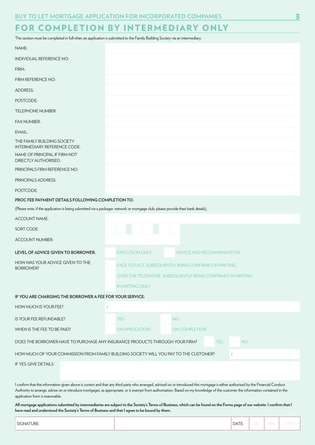# FOR COMPLETION BY INTERMEDIARY ONLY

This section must be completed in full when an application is submitted to the Family Building Society via an intermediary.

| NAME:                                                                                          |                                                                                                                                                                                                                                                                                                                                                                      |
|------------------------------------------------------------------------------------------------|----------------------------------------------------------------------------------------------------------------------------------------------------------------------------------------------------------------------------------------------------------------------------------------------------------------------------------------------------------------------|
| <b>INDIVIDUAL REFERENCE NO:</b>                                                                |                                                                                                                                                                                                                                                                                                                                                                      |
| FIRM:                                                                                          |                                                                                                                                                                                                                                                                                                                                                                      |
| FIRM REFERENCE NO:                                                                             |                                                                                                                                                                                                                                                                                                                                                                      |
| <b>ADDRESS:</b>                                                                                |                                                                                                                                                                                                                                                                                                                                                                      |
| POSTCODE:                                                                                      |                                                                                                                                                                                                                                                                                                                                                                      |
| <b>TELEPHONE NUMBER:</b>                                                                       |                                                                                                                                                                                                                                                                                                                                                                      |
| <b>FAX NUMBER:</b>                                                                             |                                                                                                                                                                                                                                                                                                                                                                      |
| EMAIL:                                                                                         |                                                                                                                                                                                                                                                                                                                                                                      |
| THE FAMILY BUILDING SOCIETY<br><b>INTERMEDIARY REFERENCE CODE:</b>                             |                                                                                                                                                                                                                                                                                                                                                                      |
| NAME OF PRINCIPAL IF FIRM NOT<br><b>DIRECTLY AUTHORISED:</b>                                   |                                                                                                                                                                                                                                                                                                                                                                      |
| PRINCIPAL'S FIRM REFERENCE NO:                                                                 |                                                                                                                                                                                                                                                                                                                                                                      |
| PRINCIPAL'S ADDRESS:                                                                           |                                                                                                                                                                                                                                                                                                                                                                      |
| POSTCODE:                                                                                      |                                                                                                                                                                                                                                                                                                                                                                      |
| PROC FEE PAYMENT DETAILS FOLLOWING COMPLETION TO:                                              |                                                                                                                                                                                                                                                                                                                                                                      |
|                                                                                                | (Please note, if the application is being submitted via a packager, network or mortgage club, please provide their bank details).                                                                                                                                                                                                                                    |
| <b>ACCOUNT NAME:</b>                                                                           |                                                                                                                                                                                                                                                                                                                                                                      |
| SORT CODE:                                                                                     |                                                                                                                                                                                                                                                                                                                                                                      |
| <b>ACCOUNT NUMBER:</b>                                                                         |                                                                                                                                                                                                                                                                                                                                                                      |
| LEVEL OF ADVICE GIVEN TO BORROWER:                                                             | <b>EXECUTION ONLY</b><br><b>ADVICE AND RECOMMENDATION</b>                                                                                                                                                                                                                                                                                                            |
| HOW WAS YOUR ADVICE GIVEN TO THE<br><b>BORROWER?</b>                                           | FACE TO FACE, SUBSEQUENTLY BEING CONFIRMED IN WRITING                                                                                                                                                                                                                                                                                                                |
|                                                                                                | OVER THE TELEPHONE, SUBSEQUENTLY BEING CONFIRMED IN WRITING                                                                                                                                                                                                                                                                                                          |
|                                                                                                | <b>IN WRITING ONLY</b>                                                                                                                                                                                                                                                                                                                                               |
| IF YOU ARE CHARGING THE BORROWER A FEE FOR YOUR SERVICE:                                       |                                                                                                                                                                                                                                                                                                                                                                      |
| HOW MUCH IS YOUR FEE?                                                                          | £                                                                                                                                                                                                                                                                                                                                                                    |
| IS YOUR FEE REFUNDABLE?                                                                        | <b>YES</b><br><b>NO</b>                                                                                                                                                                                                                                                                                                                                              |
| WHEN IS THE FEE TO BE PAID?                                                                    | <b>ON APPLICATION</b><br><b>ON COMPLETION</b>                                                                                                                                                                                                                                                                                                                        |
|                                                                                                | DOES THE BORROWER HAVE TO PURCHASE ANY INSURANCE PRODUCTS THROUGH YOUR FIRM?<br><b>YES</b><br><b>NO</b>                                                                                                                                                                                                                                                              |
|                                                                                                | HOW MUCH OF YOUR COMMISSION FROM FAMILY BUILDING SOCIETY WILL YOU PAY TO THE CUSTOMER?<br>£                                                                                                                                                                                                                                                                          |
| IF YES, GIVE DETAILS:                                                                          |                                                                                                                                                                                                                                                                                                                                                                      |
| application form is reasonable.                                                                | I confirm that the information given above is correct and that any third party who arranged, advised on or introduced this mortgage is either authorised by the Financial Conduct<br>Authority to arrange, advise on or introduce mortgages, as appropriate, or is exempt from authorisation. Based on my knowledge of the customer the information contained in the |
| have read and understood the Society's Terms of Business and that I agree to be bound by them. | All mortgage applications submitted by intermediaries are subject to the Society's Terms of Business, which can be found on the Forms page of our website. I confirm that I                                                                                                                                                                                          |

| $\sim$ $\sim$ $\sim$<br>TURE:<br>' SIGNAT.<br>DAIE:<br> V <br>レレ |
|------------------------------------------------------------------|
|------------------------------------------------------------------|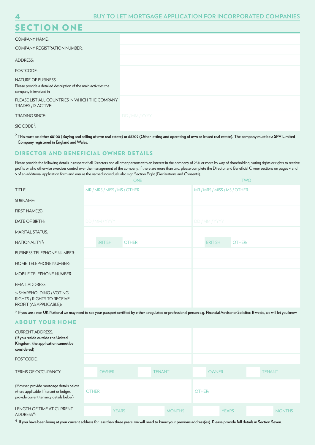# SECTION ONE

| _ _ _ _ _ _                                                                                                              |                |
|--------------------------------------------------------------------------------------------------------------------------|----------------|
| <b>COMPANY NAME:</b>                                                                                                     |                |
| <b>COMPANY REGISTRATION NUMBER:</b>                                                                                      |                |
| ADDRESS:                                                                                                                 |                |
| POSTCODE:                                                                                                                |                |
| <b>NATURE OF BUSINESS:</b><br>Please provide a detailed description of the main activities the<br>company is involved in |                |
| PLEASE LIST ALL COUNTRIES IN WHICH THE COMPANY<br>TRADES / IS ACTIVE:                                                    |                |
| <b>TRADING SINCE:</b>                                                                                                    | DD / MM / YYYY |
| SIC CODE <sup>2</sup>                                                                                                    |                |

<sup>2</sup> This must be either 68100 (Buying and selling of own real estate) or 68209 (Other letting and operating of own or leased real estate). The company must be a SPV Limited **Company registered in England and Wales.**

### DIRECTOR AND BENEFICIAL OWNER DETAILS

Please provide the following details in respect of all Directors and all other persons with an interest in the company of 25% or more by way of shareholding, voting rights or rights to receive profits or who otherwise exercises control over the management of the company. If there are more than two, please complete the Director and Beneficial Owner sections on pages 4 and 5 of an additional application form and ensure the named individuals also sign Section Eight (Declarations and Consents).

|                                                                                                                                                                                                | <b>ONE</b> |                               |        |  |               | <b>TWO</b> |                |                |                               |  |               |               |
|------------------------------------------------------------------------------------------------------------------------------------------------------------------------------------------------|------------|-------------------------------|--------|--|---------------|------------|----------------|----------------|-------------------------------|--|---------------|---------------|
| TITLE:                                                                                                                                                                                         |            | MR / MRS / MISS / MS / OTHER: |        |  |               |            |                |                | MR / MRS / MISS / MS / OTHER: |  |               |               |
| <b>SURNAME:</b>                                                                                                                                                                                |            |                               |        |  |               |            |                |                |                               |  |               |               |
| FIRST NAME(S):                                                                                                                                                                                 |            |                               |        |  |               |            |                |                |                               |  |               |               |
| <b>DATE OF BIRTH:</b>                                                                                                                                                                          |            | DD / MM / YYYY                |        |  |               |            | DD / MM / YYYY |                |                               |  |               |               |
| <b>MARITAL STATUS:</b>                                                                                                                                                                         |            |                               |        |  |               |            |                |                |                               |  |               |               |
| NATIONALITY <sup>3</sup> :                                                                                                                                                                     |            | <b>BRITISH</b>                | OTHER: |  |               |            |                | <b>BRITISH</b> | OTHER:                        |  |               |               |
| <b>BUSINESS TELEPHONE NUMBER:</b>                                                                                                                                                              |            |                               |        |  |               |            |                |                |                               |  |               |               |
| HOME TELEPHONE NUMBER:                                                                                                                                                                         |            |                               |        |  |               |            |                |                |                               |  |               |               |
| <b>MOBILE TELEPHONE NUMBER:</b>                                                                                                                                                                |            |                               |        |  |               |            |                |                |                               |  |               |               |
| <b>EMAIL ADDRESS:</b>                                                                                                                                                                          |            |                               |        |  |               |            |                |                |                               |  |               |               |
| % SHAREHOLDING / VOTING<br>RIGHTS / RIGHTS TO RECEIVE<br>PROFIT (AS APPLICABLE):                                                                                                               |            |                               |        |  |               |            |                |                |                               |  |               |               |
| $^3$ If you are a non UK National we may need to see your passport certified by either a regulated or professional person e.g. Financial Adviser or Solicitor. If we do, we will let you know. |            |                               |        |  |               |            |                |                |                               |  |               |               |
| <b>ABOUT YOUR HOME</b>                                                                                                                                                                         |            |                               |        |  |               |            |                |                |                               |  |               |               |
| <b>CURRENT ADDRESS:</b><br>(If you reside outside the United<br>Kingdom, the application cannot be<br>considered)                                                                              |            |                               |        |  |               |            |                |                |                               |  |               |               |
| POSTCODE:                                                                                                                                                                                      |            |                               |        |  |               |            |                |                |                               |  |               |               |
| TERMS OF OCCUPANCY:                                                                                                                                                                            |            | <b>OWNER</b>                  |        |  | <b>TENANT</b> |            |                | <b>OWNER</b>   |                               |  | <b>TENANT</b> |               |
| (If owner, provide mortgage details below<br>where applicable. If tenant or lodger,<br>provide current tenancy details below)                                                                  | OTHER:     |                               |        |  |               |            | OTHER:         |                |                               |  |               |               |
| <b>LENGTH OF TIME AT CURRENT</b><br>ADDRESS <sup>4</sup> :                                                                                                                                     |            | <b>YEARS</b>                  |        |  | <b>MONTHS</b> |            |                |                | <b>YEARS</b>                  |  |               | <b>MONTHS</b> |

4 **If you have been living at your current address for less than three years, we will need to know your previous address(es). Please provide full details in Section Seven.**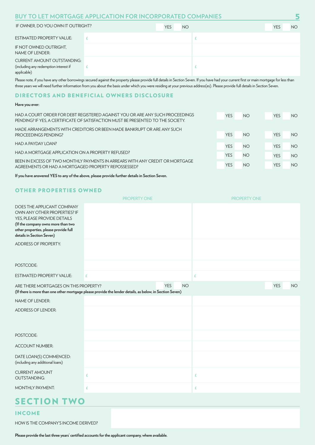## **BUY TO LET MORTGAGE APPLICATION FOR INCORPORATED COMPANIES 5**

| IF OWNER, DO YOU OWN IT OUTRIGHT?                                                          | <b>YES</b> | <b>NO</b> | <b>YES</b> | NO. |
|--------------------------------------------------------------------------------------------|------------|-----------|------------|-----|
| <b>ESTIMATED PROPERTY VALUE:</b>                                                           |            |           |            |     |
| IF NOT OWNED OUTRIGHT.<br>NAME OF LENDER:                                                  |            |           |            |     |
| <b>CURRENT AMOUNT OUTSTANDING:</b><br>(including any redemption interest if<br>applicable) |            |           |            |     |

Please note, if you have any other borrowings secured against the property please provide full details in Section Seven. If you have had your current first or main mortgage for less than three years we will need further information from you about the basis under which you were residing at your previous address(es). Please provide full details in Section Seven.

#### DIRECTORS AND BENEFICIAL OWNERS DISCLOSURE

#### **Have you ever:**

| HAD A COURT ORDER FOR DEBT REGISTERED AGAINST YOU OR ARE ANY SUCH PROCEEDINGS                                                                              | <b>YES</b> | <b>NO</b> | <b>YES</b> | NO.             |
|------------------------------------------------------------------------------------------------------------------------------------------------------------|------------|-----------|------------|-----------------|
| PENDING? IF YES, A CERTIFICATE OF SATISFACTION MUST BE PRESENTED TO THE SOCIETY.<br>MADE ARRANGEMENTS WITH CREDITORS OR BEEN MADE BANKRUPT OR ARE ANY SUCH |            |           |            |                 |
| PROCEEDINGS PENDING?                                                                                                                                       | <b>YES</b> | <b>NO</b> | <b>YES</b> | NO.             |
| HAD A PAYDAY LOAN?                                                                                                                                         | <b>YES</b> | <b>NO</b> | <b>YES</b> | NO.             |
| HAD A MORTGAGE APPLICATION ON A PROPERTY REFUSED?                                                                                                          | <b>YES</b> | <b>NO</b> | <b>YES</b> | NO <sub>1</sub> |
| BEEN IN EXCESS OF TWO MONTHLY PAYMENTS IN ARREARS WITH ANY CREDIT OR MORTGAGE<br>AGREEMENTS OR HAD A MORTGAGED PROPERTY REPOSSESSED?                       | <b>YES</b> | <b>NO</b> | <b>YES</b> | <b>NO</b>       |

**If you have answered YES to any of the above, please provide further details in Section Seven.**

## OTHER PROPERTIES OWNED

|                                                                                                                                                                                                       | <b>PROPERTY ONE</b>                                                                                      |                         | <b>PROPERTY ONE</b> |            |           |
|-------------------------------------------------------------------------------------------------------------------------------------------------------------------------------------------------------|----------------------------------------------------------------------------------------------------------|-------------------------|---------------------|------------|-----------|
| DOES THE APPLICANT COMPANY<br>OWN ANY OTHER PROPERTIES? IF<br>YES, PLEASE PROVIDE DETAILS<br>(If the company owns more than two<br>other properties, please provide full<br>details in Section Seven) |                                                                                                          |                         |                     |            |           |
| ADDRESS OF PROPERTY:                                                                                                                                                                                  |                                                                                                          |                         |                     |            |           |
| POSTCODE:                                                                                                                                                                                             |                                                                                                          |                         |                     |            |           |
| <b>ESTIMATED PROPERTY VALUE:</b>                                                                                                                                                                      | £                                                                                                        |                         | £                   |            |           |
| ARE THERE MORTGAGES ON THIS PROPERTY?                                                                                                                                                                 | (If there is more than one other mortgage please provide the lender details, as below, in Section Seven) | <b>YES</b><br><b>NO</b> |                     | <b>YES</b> | <b>NO</b> |
| <b>NAME OF LENDER:</b>                                                                                                                                                                                |                                                                                                          |                         |                     |            |           |
| <b>ADDRESS OF LENDER:</b>                                                                                                                                                                             |                                                                                                          |                         |                     |            |           |
| POSTCODE:                                                                                                                                                                                             |                                                                                                          |                         |                     |            |           |
| <b>ACCOUNT NUMBER:</b>                                                                                                                                                                                |                                                                                                          |                         |                     |            |           |
| DATE LOAN(S) COMMENCED:<br>(including any additional loans)                                                                                                                                           |                                                                                                          |                         |                     |            |           |
| <b>CURRENT AMOUNT</b><br><b>OUTSTANDING:</b>                                                                                                                                                          | £                                                                                                        |                         | £                   |            |           |
| <b>MONTHLY PAYMENT:</b>                                                                                                                                                                               | £                                                                                                        |                         | £                   |            |           |
| <b>SECTION TWO</b>                                                                                                                                                                                    |                                                                                                          |                         |                     |            |           |

## INCOME

HOW IS THE COMPANY'S INCOME DERIVED?

**Please provide the last three years' certified accounts for the applicant company, where available.**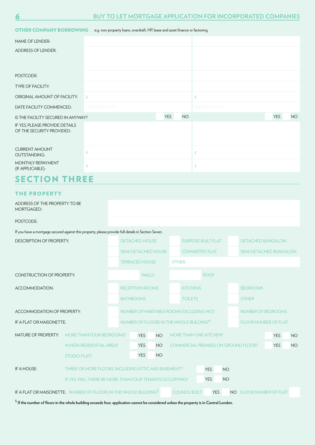| <b>OTHER COMPANY BORROWING</b>                              | e.g. non-property loans, overdraft, HP, lease and asset finance or factoring. |                         |                |     |           |  |  |  |
|-------------------------------------------------------------|-------------------------------------------------------------------------------|-------------------------|----------------|-----|-----------|--|--|--|
| <b>NAME OF LENDER:</b>                                      |                                                                               |                         |                |     |           |  |  |  |
| <b>ADDRESS OF LENDER:</b>                                   |                                                                               |                         |                |     |           |  |  |  |
|                                                             |                                                                               |                         |                |     |           |  |  |  |
| POSTCODE:                                                   |                                                                               |                         |                |     |           |  |  |  |
| <b>TYPE OF FACILITY:</b>                                    |                                                                               |                         |                |     |           |  |  |  |
| ORIGINAL AMOUNT OF FACILITY:                                | £                                                                             |                         | £              |     |           |  |  |  |
| DATE FACILITY COMMENCED:                                    | DD / MM / YYYY                                                                |                         | DD / MM / YYYY |     |           |  |  |  |
| IS THE FACILITY SECURED IN ANYWAY?                          |                                                                               | <b>NO</b><br><b>YES</b> |                | YES | <b>NO</b> |  |  |  |
| IF YES, PLEASE PROVIDE DETAILS<br>OF THE SECURITY PROVIDED: |                                                                               |                         |                |     |           |  |  |  |
|                                                             |                                                                               |                         |                |     |           |  |  |  |
| <b>CURRENT AMOUNT</b><br><b>OUTSTANDING:</b>                | £                                                                             |                         | £              |     |           |  |  |  |
| MONTHLY REPAYMENT<br>(IF APPLICABLE):                       | £                                                                             |                         | £              |     |           |  |  |  |
| <b>SECTION THREE</b>                                        |                                                                               |                         |                |     |           |  |  |  |

### THE PROPERTY

| <b>MORTGAGED:</b>                                                                                   | ADDRESS OF THE PROPERTY TO BE                           |                                                     |                       |           |  |                       |                                             |           |                               |            |           |
|-----------------------------------------------------------------------------------------------------|---------------------------------------------------------|-----------------------------------------------------|-----------------------|-----------|--|-----------------------|---------------------------------------------|-----------|-------------------------------|------------|-----------|
| POSTCODE:                                                                                           |                                                         |                                                     |                       |           |  |                       |                                             |           |                               |            |           |
| If you have a mortgage secured against this property, please provide full details in Section Seven. |                                                         |                                                     |                       |           |  |                       |                                             |           |                               |            |           |
| <b>DESCRIPTION OF PROPERTY:</b>                                                                     |                                                         |                                                     | <b>DETACHED HOUSE</b> |           |  |                       | <b>PURPOSE-BUILT FLAT</b>                   |           | <b>DETACHED BUNGALOW</b>      |            |           |
|                                                                                                     |                                                         | <b>SEMI-DETACHED HOUSE</b>                          |                       |           |  | <b>CONVERTED FLAT</b> |                                             |           | <b>SEMI-DETACHED BUNGALOW</b> |            |           |
|                                                                                                     |                                                         |                                                     | <b>TERRACED HOUSE</b> |           |  | OTHER:                |                                             |           |                               |            |           |
| <b>CONSTRUCTION OF PROPERTY:</b>                                                                    |                                                         |                                                     | <b>WALLS</b>          |           |  | <b>ROOF</b>           |                                             |           |                               |            |           |
| ACCOMMODATION:                                                                                      |                                                         | <b>RECEPTION ROOMS</b>                              |                       |           |  | <b>KITCHENS</b>       |                                             |           | <b>BEDROOMS</b>               |            |           |
|                                                                                                     |                                                         | <b>BATHROOMS</b>                                    |                       |           |  | <b>TOILETS</b>        |                                             |           | <b>OTHER</b>                  |            |           |
| <b>ACCOMMODATION OF PROPERTY:</b>                                                                   |                                                         | NUMBER OF HABITABLE ROOMS EXCLUDING WCS             |                       |           |  |                       |                                             |           | NUMBER OF BEDROOMS            |            |           |
| IF A FLAT OR MAISONETTE:                                                                            |                                                         | NUMBER OF FLOORS IN THE WHOLE BUILDING <sup>4</sup> |                       |           |  |                       |                                             |           | <b>FLOOR NUMBER OF FLAT</b>   |            |           |
| <b>NATURE OF PROPERTY:</b>                                                                          | <b>MORE THAN FOUR BEDROOMS?</b>                         |                                                     | <b>YES</b>            | <b>NO</b> |  |                       | <b>MORE THAN ONE KITCHEN?</b>               |           |                               | <b>YES</b> | <b>NO</b> |
|                                                                                                     | IN NON-RESIDENTIAL AREA?                                |                                                     | <b>YES</b>            | <b>NO</b> |  |                       | <b>COMMERCIAL PREMISES ON GROUND FLOOR?</b> |           |                               | <b>YES</b> | <b>NO</b> |
|                                                                                                     | <b>STUDIO FLAT?</b>                                     |                                                     | <b>YES</b>            | <b>NO</b> |  |                       |                                             |           |                               |            |           |
| IF A HOUSE:                                                                                         | THREE OR MORE FLOORS, INCLUDING ATTIC AND BASEMENT?     |                                                     |                       |           |  |                       | <b>YES</b>                                  | <b>NO</b> |                               |            |           |
|                                                                                                     | IF YES. WILL THERE BE MORE THAN FOUR TENANTS OCCUPYING? |                                                     |                       |           |  |                       | <b>YES</b>                                  | <b>NO</b> |                               |            |           |
| IF A FLAT OR MAISONETTE: NUMBER OF FLOORS IN THE WHOLE BUILDING <sup>5</sup>                        |                                                         |                                                     |                       |           |  | <b>COUNCIL BUILT</b>  | <b>YES</b>                                  |           | NO FLOOR NUMBER OF FLAT       |            |           |

5 **If the number of floors in the whole building exceeds four, application cannot be considered unless the property is in Central London.**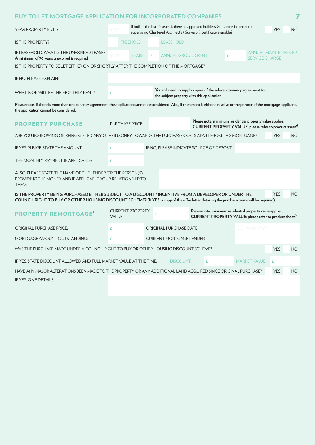| <b>BUY TO LET MORTGAGE APPLICATION FOR INCORPORATED COMPANIES</b>                                                                                                                                                                                    |                                         |                                                                                                                                                                |                                                                      |                                                                                                                                  |           |  |  |  |
|------------------------------------------------------------------------------------------------------------------------------------------------------------------------------------------------------------------------------------------------------|-----------------------------------------|----------------------------------------------------------------------------------------------------------------------------------------------------------------|----------------------------------------------------------------------|----------------------------------------------------------------------------------------------------------------------------------|-----------|--|--|--|
| YEAR PROPERTY BUILT:                                                                                                                                                                                                                                 | YYYY                                    | If built in the last 10 years, is there an approved Builder's Guarantee in force or a<br>supervising Chartered Architect's / Surveyor's certificate available? |                                                                      |                                                                                                                                  |           |  |  |  |
| <b>IS THE PROPERTY?</b>                                                                                                                                                                                                                              | <b>FREEHOLD</b>                         | <b>LEASEHOLD</b>                                                                                                                                               |                                                                      |                                                                                                                                  |           |  |  |  |
| IF LEASEHOLD, WHAT IS THE UNEXPIRED LEASE?<br>A minimum of 70 years unexpired is required                                                                                                                                                            | YYYY<br><b>YEARS</b>                    | <b>ANNUAL GROUND RENT</b><br>£                                                                                                                                 | £                                                                    | ANNUAL MAINTENANCE /<br><b>SERVICE CHARGE</b>                                                                                    |           |  |  |  |
| IS THE PROPERTY TO BE LET EITHER ON OR SHORTLY AFTER THE COMPLETION OF THE MORTGAGE?                                                                                                                                                                 |                                         |                                                                                                                                                                |                                                                      |                                                                                                                                  |           |  |  |  |
| IF NO, PLEASE EXPLAIN:                                                                                                                                                                                                                               |                                         |                                                                                                                                                                |                                                                      |                                                                                                                                  |           |  |  |  |
| WHAT IS OR WILL BE THE MONTHLY RENT?                                                                                                                                                                                                                 | £                                       | the subject property with this application.                                                                                                                    | You will need to supply copies of the relevant tenancy agreement for |                                                                                                                                  |           |  |  |  |
| Please note, If there is more than one tenancy agreement, the application cannot be considered. Also, if the tenant is either a relative or the partner of the mortgage applicant,<br>the application cannot be considered.                          |                                         |                                                                                                                                                                |                                                                      |                                                                                                                                  |           |  |  |  |
| <b>PROPERTY PURCHASE</b> <sup>6</sup>                                                                                                                                                                                                                | <b>PURCHASE PRICE:</b>                  | £                                                                                                                                                              |                                                                      | Please note, minimum residential property value applies,<br>CURRENT PROPERTY VALUE: please refer to product sheet <sup>6</sup> . |           |  |  |  |
| ARE YOU BORROWING OR BEING GIFTED ANY OTHER MONEY TOWARDS THE PURCHASE COSTS APART FROM THIS MORTGAGE?                                                                                                                                               |                                         |                                                                                                                                                                |                                                                      | <b>YES</b>                                                                                                                       | <b>NO</b> |  |  |  |
| IF YES, PLEASE STATE THE AMOUNT:                                                                                                                                                                                                                     | £                                       | IF NO, PLEASE INDICATE SOURCE OF DEPOSIT:                                                                                                                      |                                                                      |                                                                                                                                  |           |  |  |  |
| THE MONTHLY PAYMENT, IF APPLICABLE:                                                                                                                                                                                                                  | £                                       |                                                                                                                                                                |                                                                      |                                                                                                                                  |           |  |  |  |
| ALSO, PLEASE STATE THE NAME OF THE LENDER OR THE PERSON(S)<br>PROVIDING THE MONEY AND IF APPLICABLE YOUR RELATIONSHIP TO<br>THEM:                                                                                                                    |                                         |                                                                                                                                                                |                                                                      |                                                                                                                                  |           |  |  |  |
| IS THE PROPERTY BEING PURCHASED EITHER SUBJECT TO A DISCOUNT / INCENTIVE FROM A DEVELOPER OR UNDER THE<br>COUNCIL RIGHT TO BUY OR OTHER HOUSING DISCOUNT SCHEME? (If YES, a copy of the offer letter detailing the purchase terms will be required). |                                         |                                                                                                                                                                |                                                                      | <b>YES</b>                                                                                                                       | <b>NO</b> |  |  |  |
| <b>PROPERTY REMORTGAGE®</b>                                                                                                                                                                                                                          | <b>CURRENT PROPERTY</b><br><b>VALUE</b> | £                                                                                                                                                              |                                                                      | Please note, minimum residential property value applies,<br>CURRENT PROPERTY VALUE: please refer to product sheet <sup>6</sup> . |           |  |  |  |
| <b>ORIGINAL PURCHASE PRICE:</b>                                                                                                                                                                                                                      | £                                       | <b>ORIGINAL PURCHASE DATE:</b>                                                                                                                                 |                                                                      | DD / MM / YYYY                                                                                                                   |           |  |  |  |
| <b>MORTGAGE AMOUNT OUTSTANDING:</b>                                                                                                                                                                                                                  | £                                       | <b>CURRENT MORTGAGE LENDER:</b>                                                                                                                                |                                                                      |                                                                                                                                  |           |  |  |  |
| WAS THE PURCHASE MADE UNDER A COUNCIL RIGHT TO BUY OR OTHER HOUSING DISCOUNT SCHEME?                                                                                                                                                                 |                                         |                                                                                                                                                                |                                                                      | <b>YES</b>                                                                                                                       | <b>NO</b> |  |  |  |
| IF YES, STATE DISCOUNT ALLOWED AND FULL MARKET VALUE AT THE TIME:                                                                                                                                                                                    |                                         | <b>DISCOUNT:</b>                                                                                                                                               | £                                                                    | <b>MARKET VALUE:</b><br>£                                                                                                        |           |  |  |  |
| HAVE ANY MAJOR ALTERATIONS BEEN MADE TO THE PROPERTY OR ANY ADDITIONAL LAND ACQUIRED SINCE ORIGINAL PURCHASE?                                                                                                                                        |                                         |                                                                                                                                                                |                                                                      | <b>YES</b>                                                                                                                       | NO        |  |  |  |
| IF YES. GIVE DETAILS:                                                                                                                                                                                                                                |                                         |                                                                                                                                                                |                                                                      |                                                                                                                                  |           |  |  |  |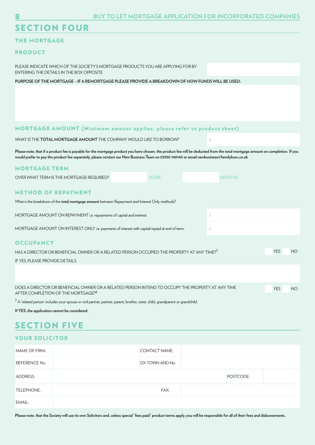# SECTION FOUR

## THE MORTGAGE

#### PRODUCT

PLEASE INDICATE WHICH OF THE SOCIETY'S MORTGAGE PRODUCTS YOU ARE APPLYING FOR BY ENTERING THE DETAILS IN THE BOX OPPOSITE

**PURPOSE OF THE MORTGAGE – IF A REMORTGAGE PLEASE PROVIDE A BREAKDOWN OF HOW FUNDS WILL BE USED:** 

#### MORTGAGE AMOUNT (Minimum amount applies, please refer to product sheet)

WHAT IS THE **TOTAL MORTGAGE AMOUNT** THE COMPANY WOULD LIKE TO BORROW?

**Please note, that if a product fee is payable for the mortgage product you have chosen, the product fee will be deducted from the total mortgage amount on completion. If you would prefer to pay the product fee separately, please contact our New Business Team on 03330 140140 or email newbusiness@familybsoc.co.uk**

| <b>MORTGAGE TERM</b>                                                                                                                                |              |               |            |    |
|-----------------------------------------------------------------------------------------------------------------------------------------------------|--------------|---------------|------------|----|
| OVER WHAT TERM IS THE MORTGAGE REQUIRED?                                                                                                            | <b>YEARS</b> | <b>MONTHS</b> |            |    |
| <b>METHOD OF REPAYMENT</b><br>What is the breakdown of the total mortgage amount between Repayment and Interest Only methods?                       |              |               |            |    |
| MORTGAGE AMOUNT ON REPAYMENT i.e. repayments of capital and interest:                                                                               |              | £             |            |    |
| MORTGAGE AMOUNT ON INTEREST ONLY i.e. payments of interest with capital repaid at end of term:                                                      | £            |               |            |    |
| <b>OCCUPANCY</b><br>HAS A DIRECTOR OR BENEFICIAL OWNER OR A RELATED PERSON OCCUPIED THE PROPERTY AT ANY TIME? <sup>7</sup>                          |              |               | <b>YES</b> | NO |
| IF YES, PLEASE PROVIDE DETAILS:                                                                                                                     |              |               |            |    |
| DOES A DIRECTOR OR BENEFICIAL OWNER OR A RELATED PERSON INTEND TO OCCUPY THE PROPERTY AT ANY TIME<br>AFTER COMPLETION OF THE MORTGAGE? <sup>6</sup> |              |               | <b>YES</b> | NO |
| 7.                                                                                                                                                  |              |               |            |    |

 $<sup>7</sup>$  A 'related person' includes your spouse or civil partner, partner, parent, brother, sister, child, grandparent or grandchild.</sup>

**If YES, the application cannot be considered.**

## SECTION FIVE

## YOUR SOLICITOR

| NAME OF FIRM:        | CONTACT NAME:   |      |           |  |
|----------------------|-----------------|------|-----------|--|
| <b>REFERENCE No:</b> | DX TOWN AND No: |      |           |  |
| ADDRESS:             |                 |      | POSTCODE: |  |
| TELEPHONE:           |                 | FAX: |           |  |
| EMAIL:               |                 |      |           |  |

**Please note, that the Society will use its own Solicitors and, unless special "fees paid" product terms apply, you will be responsible for all of their fees and disbursements.**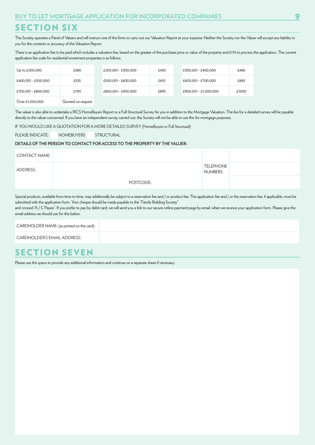# SECTION SIX

The Society operates a Panel of Valuers and will instruct one of the firms to carry out our Valuation Report at your expense. Neither the Society nor the Valuer will accept any liability to you for the contents or accuracy of the Valuation Report.

There is an application fee to be paid which includes a valuation fee, based on the greater of the purchase price or value of the property and £175 to process the application. The current application fee scale for residential investment properties is as follows:

| Up to £200,000      | £380              | £200.001 - £300.000 | £430 | £300.001 - £400.000   | £480  |
|---------------------|-------------------|---------------------|------|-----------------------|-------|
| £400,001 - £500,000 | £535              | £500,001 - £600,000 | £610 | £600.001 - £700.000   | £685  |
| £700.001 - £800.000 | £790              | £800.001 - £900.000 | £895 | £900.001 - £1.000.000 | £1000 |
| Over £1,000,000     | Quoted on reauest |                     |      |                       |       |

The valuer is also able to undertake a RICS HomeBuyers Report or a Full Structural Survey for you in addition to the Mortgage Valuation. The fee for a detailed survey will be payable directly to the valuer concerned. If you have an independent survey carried out, the Society will not be able to use this for mortgage purposes.

IF YOU WOULD LIKE A QUOTATION FOR A MORE DETAILED SURVEY (HomeBuyers or Full Structural)

PLEASE INDICATE: HOMEBUYERS STRUCTURAL

#### **DETAILS OF THE PERSON TO CONTACT FOR ACCESS TO THE PROPERTY BY THE VALUER:**

| <b>CONTACT NAME:</b> |           |                              |  |
|----------------------|-----------|------------------------------|--|
| ADDRESS:             |           | <b>TELEPHONE</b><br>NUMBERS: |  |
|                      | POSTCODE: |                              |  |

Special products, available from time to time, may additionally be subject to a reservation fee and / or product fee. The application fee and / or the reservation fee, if applicable, must be submitted with the application form. Your cheque should be made payable to the "Family Building Society"

and crossed "A / C Payee". If you prefer to pay by debit card, we will send you a link to our secure online payment page by email, when we receive your application form. Please give the email address we should use for this below:

#### CARDHOLDER NAME: (as printed on the card)

CARDHOLDER'S EMAIL ADDRESS:

## SECTION SEVEN

Please use this space to provide any additional information and continue on a separate sheet if necessary.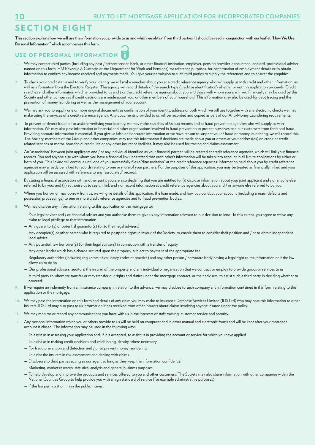# SECTION EIGHT

**This section explains how we will use the information you provide to us and which we obtain from third parties. It should be read in conjunction with our leaflet "How We Use Personal Information" which accompanies this form.** 

## USE OF PERSONAL INFORMATION

- We may contact third parties (including any past / present lender, bank, or other financial institution, employer, pension provider, accountant, landlord, professional adviser named on this form, HM Revenue & Customs or the Department for Work and Pensions) for reference purposes, for confirmation of employment details or to obtain information to confirm any income received and payments made. You give your permission to such third parties to supply the references and to answer the enquiries.
- **2.** To check your credit status and to verify your identity we will make searches about you at a credit reference agency who will supply us with credit and other information, as well as information from the Electoral Register. The agency will record details of the search type (credit or identification) whether or not this application proceeds. Credit searches and other information which is provided to us and / or the credit reference agency, about you and those with whom you are linked financially may be used by the Society and other companies if credit decisions are made about you, or other members of your household. This information may also be used for debt tracing and the prevention of money laundering as well as the management of your account.
- **3.** We may ask you to supply one or more original documents as confirmation of your identity, address or both which we will use together with any electronic checks we may make using the services of a credit reference agency. Any documents provided to us will be recorded and copied as part of our Anti-Money Laundering requirements.
- **4.** To prevent or detect fraud, or to assist in verifying your identity, we may make searches of Group records and at fraud prevention agencies who will supply us with information. We may also pass information to financial and other organisations involved in fraud prevention to protect ourselves and our customers from theft and fraud. Providing accurate information is essential. If you give us false or inaccurate information or we have reason to suspect you of fraud or money laundering, we will record this. The Society, members of the Group and other companies, may use this information if decisions are made about you or others at your address(es) on credit or creditrelated services or motor, household, credit, life or any other insurance facilities. It may also be used for tracing and claims assessment.
- **5.** An "association" between joint applicants and / or any individual identified as your financial partner, will be created at credit reference agencies, which will link your financial records. You and anyone else with whom you have a financial link understand that each other's information will be taken into account in all future applications by either or both of you. This linking will continue until one of you successfully files a"disassociation" at the credit reference agencies. Information held about you by credit reference agencies may already be linked to records relating to one or more of your partners. For the purposes of this application, you may be treated as financially linked and your application will be assessed with reference to any "associated" records.
- **6.** By stating a financial association with another party, you are also declaring that you are entitled to: (i) disclose information about your joint applicant and / or anyone else referred to by you; and (ii) authorise us to search, link and / or record information at credit reference agencies about you and / or anyone else referred to by you.
- **7.** Where you borrow or may borrow from us, we will give details of this application, the loan made, and how you conduct your account (including arrears, defaults and possession proceedings) to one or more credit reference agencies and to fraud prevention bodies.
- **8.** We may disclose any information relating to this application or the mortgage to:
	- Your legal adviser and / or financial adviser and you authorise them to give us any information relevant to our decision to lend. To this extent, you agree to waive any claim to legal privilege to that information
	- Any guarantor(s) or potential guarantor(s) (or to their legal advisers)
	- Any occupier(s) or other person who is required to postpone rights in favour of the Society, to enable them to consider their position and / or to obtain independent legal advice
	- Any potential new borrower(s) (or their legal advisers) in connection with a transfer of equity
	- Any other lender which has a charge secured upon the property, subject to payment of the appropriate fee
	- Regulatory authorities (including regulators of voluntary codes of practice) and any other person / corporate body having a legal right to the information or if the law allows us to do so
	- Our professional advisers, auditors, the insurer of the property and any individual or organisation that we contract or employ to provide goods or services to us
	- A third party to whom we transfer or may transfer our rights and duties under the mortgage contract, or their advisers, to assist such a third party in deciding whether to proceed.
- **9.** If we require an indemnity from an insurance company in relation to the advance, we may disclose to such company any information contained in this form relating to this application or the mortgage.
- **10.** We may pass the information on this form and details of any claim you may make to Insurance Database Services Limited (IDS Ltd) who may pass this information to other insurers. IDS Ltd may also pass to us information it has received from other insurers about claims involving anyone insured under the policy.
- **11.** We may monitor or record any communications you have with us in the interests of staff training, customer service and security.
- **12.** Any personal information which you or others provide to us will be held on computer and in other manual and electronic forms and will be kept after your mortgage account is closed. The information may be used in the following ways:
	- To assist us in assessing your application and, if it is accepted, to assist us in providing the account or service for which you have applied
	- To assist us in making credit decisions and establishing identity, where necessary
	- For fraud prevention and detection and / or to prevent money laundering
	- To assist the insurers in risk assessment and dealing with claims
	- Disclosure to third parties acting as our agent so long as they keep the information confidential
	- Marketing, market research, statistical analysis and general business purposes
	- To help develop and improve the products and services offered to you and other customers. The Society may also share information with other companies within the National Counties Group to help provide you with a high standard of service (for example administrative purposes)
	- If the law permits it or it is in the public interest.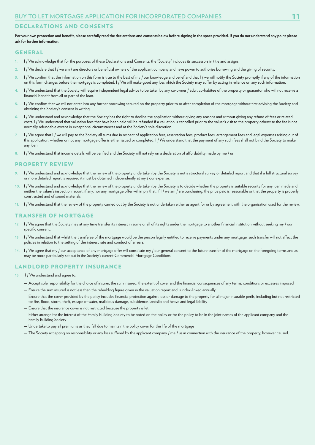#### DECLARATIONS AND CONSENTS

For your own protection and benefit, please carefully read the declarations and consents below before signing in the space provided. If you do not understand any point please **ask for further information.**

#### GENERAL

- **1.** I / We acknowledge that for the purposes of these Declarations and Consents, the "Society" includes its successors in title and assigns.
- **2.** I / We declare that I / we am / are directors or beneficial owners of the applicant company and have power to authorise borrowing and the giving of security.
- **3.** I / We confirm that the information on this form is true to the best of my / our knowledge and belief and that I / we will notify the Society promptly if any of the information on this form changes before the mortgage is completed. I / We will make good any loss which the Society may suffer by acting in reliance on any such information.
- **4.** I / We understand that the Society will require independent legal advice to be taken by any co-owner / adult co-habitee of the property or guarantor who will not receive a financial benefit from all or part of the loan.
- **5.** I / We confirm that we will not enter into any further borrowing secured on the property prior to or after completion of the mortgage without first advising the Society and obtaining the Society's consent in writing.
- **6.** I / We understand and acknowledge that the Society has the right to decline the application without giving any reasons and without giving any refund of fees or related costs. I / We understand that valuation fees that have been paid will be refunded if a valuation is cancelled prior to the valuer's visit to the property otherwise the fee is not normally refundable except in exceptional circumstances and at the Society's sole discretion.
- **7.** I / We agree that I / we will pay to the Society all sums due in respect of application fees, reservation fees, product fees, arrangement fees and legal expenses arising out of this application, whether or not any mortgage offer is either issued or completed. I / We understand that the payment of any such fees shall not bind the Society to make any loan.
- **8.** I / We understand that income details will be verified and the Society will not rely on a declaration of affordability made by me / us.

#### PROPERTY REVIEW

- I / We understand and acknowledge that the review of the property undertaken by the Society is not a structural survey or detailed report and that if a full structural survey or more detailed report is required it must be obtained independently at my / our expense.
- **10.** I / We understand and acknowledge that the review of the property undertaken by the Society is to decide whether the property is suitable security for any loan made and neither the valuer's inspection report, if any, nor any mortgage offer will imply that, if I / we am / are purchasing, the price paid is reasonable or that the property is properly constructed and of sound materials.
- **11.** I / We understand that the review of the property carried out by the Society is not undertaken either as agent for or by agreement with the organisation used for the review.

#### TRANSFER OF MORTGAGE

- **12.** I / We agree that the Society may at any time transfer its interest in some or all of its rights under the mortgage to another financial institution without seeking my / our specific consent.
- **13.** I / We understand that whilst the transferee of the mortgage would be the person legally entitled to receive payments under any mortgage, such transfer will not affect the policies in relation to the setting of the interest rate and conduct of arrears.
- **14.** I / We agree that my / our acceptance of any mortgage offer will constitute my / our general consent to the future transfer of the mortgage on the foregoing terms and as may be more particularly set out in the Society's current Commercial Mortgage Conditions.

#### LANDLORD PROPERTY INSURANCE

- **15.** I / We understand and agree to:
	- Accept sole responsibility for the choice of insurer, the sum insured, the extent of cover and the financial consequences of any terms, conditions or excesses imposed
	- Ensure the sum insured is not less than the rebuilding figure given in the valuation report and is index-linked annually
	- Ensure that the cover provided by the policy includes financial protection against loss or damage to the property for all major insurable perils, including but not restricted to: fire, flood, storm, theft, escape of water, malicious damage, subsidence, landslip and heave and legal liability
	- Ensure that the insurance cover is not restricted because the property is let
	- Either arrange for the interest of the Family Building Society to be noted on the policy or for the policy to be in the joint names of the applicant company and the Family Building Society
	- Undertake to pay all premiums as they fall due to maintain the policy cover for the life of the mortgage
	- The Society accepting no responsibility or any loss suffered by the applicant company / me / us in connection with the insurance of the property, however caused.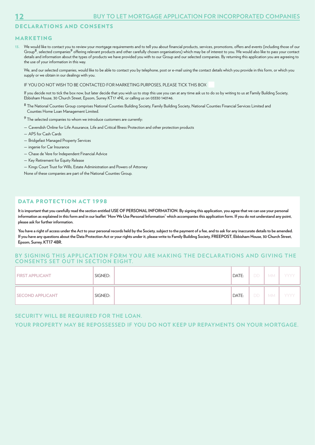## DECLARATIONS AND CONSENTS

#### MARKETING

**13.** We would like to contact you to review your mortgage requirements and to tell you about financial products, services, promotions, offers and events (including those of our Group<sup>8</sup>, selected companies<sup>9</sup> offering relevant products and other carefully chosen organisations) which may be of interest to you. We would also like to pass your contact details and information about the types of products we have provided you with to our Group and our selected companies. By returning this application you are agreeing to the use of your information in this way.

 We, and our selected companies, would like to be able to contact you by telephone, post or e-mail using the contact details which you provide in this form, or which you supply or we obtain in our dealings with you.

IF YOU DO NOT WISH TO BE CONTACTED FOR MARKETING PURPOSES, PLEASE TICK THIS BOX

 If you decide not to tick the box now, but later decide that you wish us to stop this use you can at any time ask us to do so by writing to us at Family Building Society, Ebbisham House, 30 Church Street, Epsom, Surrey KT17 4NL or calling us on 03330 140146.

- <sup>8</sup> The National Counties Group comprises National Counties Building Society, Family Building Society, National Counties Financial Services Limited and Counties Home Loan Management Limited.
- 9 The selected companies to whom we introduce customers are currently:
- Cavendish Online for Life Assurance, Life and Critical Illness Protection and other protection products
- APS for Cash Cards
- Bridgefast Managed Property Services
- ingenie for Car Insurance
- Chase de Vere for Independent Financial Advice
- Key Retirement for Equity Release
- Kings Court Trust for Wills, Estate Administration and Powers of Attorney

None of these companies are part of the National Counties Group.

### DATA PROTECTION ACT 1998

**It is important that you carefully read the section entitled USE OF PERSONAL INFORMATION. By signing this application, you agree that we can use your personal information as explained in this form and in our leaflet "How We Use Personal Information" which accompanies this application form. If you do not understand any point, please ask for further information.**

**You have a right of access under the Act to your personal records held by the Society, subject to the payment of a fee, and to ask for any inaccurate details to be amended. If you have any questions about the Data Protection Act or your rights under it, please write to Family Building Society, FREEPOST, Ebbisham House, 30 Church Street, Epsom, Surrey, KT17 4BR.**

#### **BY SIGNING THIS APPLICATION FORM YOU ARE MAKING THE DECLARATIONS AND GIVING THE CONSENTS SET OUT IN SECTION EIGHT.**

| <b>FIRST APPLICANT</b>  | SIGNED: | DATE: | DD - | <b>MM</b> | YYYY |
|-------------------------|---------|-------|------|-----------|------|
| <b>SECOND APPLICANT</b> | SIGNED: | DATE: | DD - | <b>MM</b> | YYYY |

#### **SECURITY WILL BE REQUIRED FOR THE LOAN.**

**YOUR PROPERTY MAY BE REPOSSESSED IF YOU DO NOT KEEP UP REPAYMENTS ON YOUR MORTGAGE.**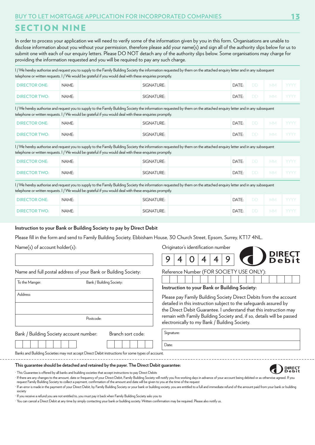## SECTION NINE

In order to process your application we will need to verify some of the information given by you in this form. Organisations are unable to disclose information about you without your permission, therefore please add your name(s) and sign all of the authority slips below for us to submit one with each of our enquiry letters. Please DO NOT detach any of the authority slips below. Some organisations may charge for providing the information requested and you will be required to pay any such charge.

I / We hereby authorise and request you to supply to the Family Building Society the information requested by them on the attached enquiry letter and in any subsequent telephone or written requests. I / We would be grateful if you would deal with these enquiries promptly.

| <b>DIRECTOR ONE:</b> | NAME: | SIGNATURE: | DATE: | DD.                              | <b>MM</b> | I YYYY |
|----------------------|-------|------------|-------|----------------------------------|-----------|--------|
| <b>DIRECTOR TWO:</b> | NAME: | SIGNATURE: | DATE: | $\overline{1}$ DD $\overline{1}$ | <b>MM</b> | i yyyy |

I / We hereby authorise and request you to supply to the Family Building Society the information requested by them on the attached enquiry letter and in any subsequent telephone or written requests. I / We would be grateful if you would deal with these enquiries promptly.

| <b>DIRECTOR ONE:</b> | NAME: | SIGNATURE: | DATE: | <b>DD</b> | MM.       | , YYYY |
|----------------------|-------|------------|-------|-----------|-----------|--------|
| <b>DIRECTOR TWO:</b> | NAME: | SIGNATURE: | DATE: | <b>DD</b> | <b>MM</b> | - YYYY |

I / We hereby authorise and request you to supply to the Family Building Society the information requested by them on the attached enquiry letter and in any subsequent telephone or written requests. I / We would be grateful if you would deal with these enquiries promptly.

| <b>DIRECTOR ONE:</b> | NAME: | SIGNATURE: | DATE: | DD. | MM I YYYY |
|----------------------|-------|------------|-------|-----|-----------|
| <b>DIRECTOR TWO:</b> | NAME: | SIGNATURE: | DATE: | DD. | MM I YYYY |

I / We hereby authorise and request you to supply to the Family Building Society the information requested by them on the attached enquiry letter and in any subsequent telephone or written requests. I / We would be grateful if you would deal with these enquiries promptly.

| <b>DIRECTOR ONE:</b> | NAME: | SIGNATURE: | DATE: | $\cdot$ DD $\cdot$ | <b>MM</b> | i yyyy i |
|----------------------|-------|------------|-------|--------------------|-----------|----------|
| <b>DIRECTOR TWO:</b> | NAME: | SIGNATURE: | DATE: | DD I               | MM.       | i yyyy i |

#### **Instruction to your Bank or Building Society to pay by Direct Debit**

Please fill in the form and send to Family Building Society, Ebbisham House, 30 Church Street, Epsom, Surrey, KT17 4NL.

Name(s) of account holder(s):

Name and full postal address of your Bank or Building Society:

To the Manger: Bank / Building Society: Address: Postcode:

Originator's identification number



**DIRECT**<br>Debit

Reference Number (FOR SOCIETY USE ONLY):

| Instruction to your Bank or Building Society: |  |  |
|-----------------------------------------------|--|--|
|                                               |  |  |

Please pay Family Building Society Direct Debits from the account detailed in this instruction subject to the safeguards assured by the Direct Debit Guarantee. I understand that this instruction may remain with Family Building Society and, if so, details will be passed electronically to my Bank / Building Society.

Signature: Date:

Bank / Building Society account number: Branch sort code:

| $\overline{\phantom{0}}$ | pianui suitu |  |  |
|--------------------------|--------------|--|--|
|                          |              |  |  |

Banks and Building Societies may not accept Direct Debit instructions for some types of account.

#### **This guarantee should be detached and retained by the payer. The Direct Debit guarantee:**

· This Guarantee is offered by all banks and building societies that accept instructions to pay Direct Debits

· If there are any changes to the amount, date or frequency of your Direct Debit, Family Building Society will notify you five working days in advance of your account being debited or as otherwise agreed. If you request Family Building Society to collect a payment, confirmation of the amount and date will be given to you at the time of the request

· If an error is made in the payment of your Direct Debit, by Family Building Society or your bank or building society, you are entitled to a full and immediate refund of the amount paid from your bank or building society

· If you receive a refund you are not entitled to, you must pay it back when Family Building Society asks you to

· You can cancel a Direct Debit at any time by simply contacting your bank or building society. Written confirmation may be required. Please also notify us.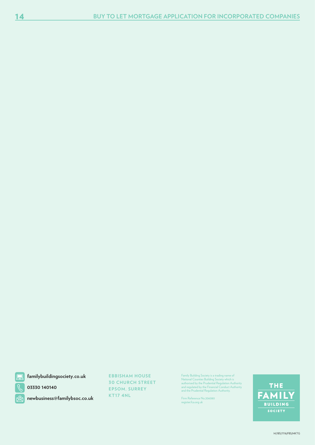

**familybuildingsociety.co.uk**

**03330 140140**

**newbusiness@familybsoc.co.uk**

**EBBISHAM HOUSE 30 CHURCH STREET EPSOM, SURREY KT17 4NL**

Family Building Society is a trading name of<br>National Counties Building Society which is<br>authorised by the Prudential Regulation Authority<br>and regulated by the Financial Conduct Authority<br>and the Prudential Regulation Auth

Firm Reference No.206080 register.fca.org.uk

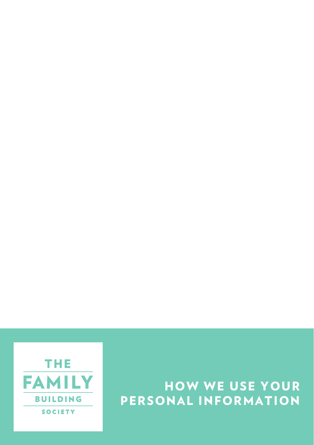

# HOW WE USE YOUR PERSONAL INFORMATION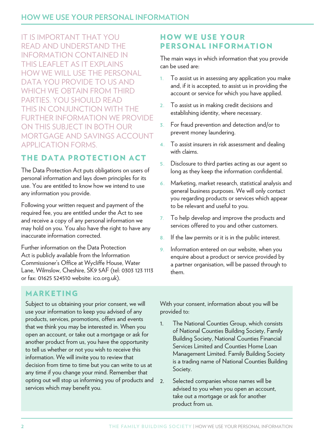IT IS IMPORTANT THAT YOU READ AND UNDERSTAND THE INFORMATION CONTAINED IN THIS LEAFLET AS IT EXPLAINS HOW WE WILL USE THE PERSONAL DATA YOU PROVIDE TO US AND WHICH WE OBTAIN FROM THIRD PARTIES. YOU SHOULD READ THIS IN CONJUNCTION WITH THE FURTHER INFORMATION WE PROVIDE ON THIS SUBJECT IN BOTH OUR MORTGAGE AND SAVINGS ACCOUNT APPLICATION FORMS.

## THE DATA PROTECTION ACT

The Data Protection Act puts obligations on users of personal information and lays down principles for its use. You are entitled to know how we intend to use any information you provide.

Following your written request and payment of the required fee, you are entitled under the Act to see and receive a copy of any personal information we may hold on you. You also have the right to have any inaccurate information corrected.

Further information on the Data Protection Act is publicly available from the Information Commissioner's Office at Wycliffe House, Water Lane, Wilmslow, Cheshire, SK9 5AF (tel: 0303 123 1113 or fax: 01625 524510 website: ico.org.uk).

#### HOW WE USE YOUR PERSONAL INFORMATION

The main ways in which information that you provide can be used are:

- **1.** To assist us in assessing any application you make and, if it is accepted, to assist us in providing the account or service for which you have applied.
- **2.** To assist us in making credit decisions and establishing identity, where necessary.
- **3.** For fraud prevention and detection and/or to prevent money laundering.
- **4.** To assist insurers in risk assessment and dealing with claims.
- **5.** Disclosure to third parties acting as our agent so long as they keep the information confidential.
- **6.** Marketing, market research, statistical analysis and general business purposes. We will only contact you regarding products or services which appear to be relevant and useful to you.
- **7.** To help develop and improve the products and services offered to you and other customers.
- **8.** If the law permits or it is in the public interest.
- **9.** Information entered on our website, when you enquire about a product or service provided by a partner organisation, will be passed through to them.

### MARKETING

Subject to us obtaining your prior consent, we will use your information to keep you advised of any products, services, promotions, offers and events that we think you may be interested in. When you open an account, or take out a mortgage or ask for another product from us, you have the opportunity to tell us whether or not you wish to receive this information. We will invite you to review that decision from time to time but you can write to us at any time if you change your mind. Remember that opting out will stop us informing you of products and services which may benefit you.

With your consent, information about you will be provided to:

- 1. The National Counties Group, which consists of National Counties Building Society, Family Building Society, National Counties Financial Services Limited and Counties Home Loan Management Limited. Family Building Society is a trading name of National Counties Building Society.
- 2. Selected companies whose names will be advised to you when you open an account, take out a mortgage or ask for another product from us.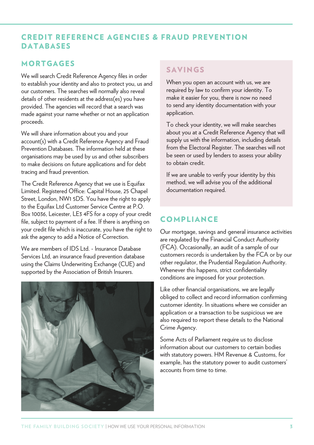#### CREDIT REFERENCE AGENCIES & FRAUD PREVENTION DATABASES

#### MORTGAGES

We will search Credit Reference Agency files in order to establish your identity and also to protect you, us and our customers. The searches will normally also reveal details of other residents at the address(es) you have provided. The agencies will record that a search was made against your name whether or not an application proceeds.

We will share information about you and your account(s) with a Credit Reference Agency and Fraud Prevention Databases. The information held at these organisations may be used by us and other subscribers to make decisions on future applications and for debt tracing and fraud prevention.

The Credit Reference Agency that we use is Equifax Limited. Registered Office: Capital House, 25 Chapel Street, London, NW1 5DS. You have the right to apply to the Equifax Ltd Customer Service Centre at P.O. Box 10036, Leicester, LE3 4FS for a copy of your credit file, subject to payment of a fee. If there is anything on your credit file which is inaccurate, you have the right to ask the agency to add a Notice of Correction.

We are members of IDS Ltd. - Insurance Database Services Ltd, an insurance fraud prevention database using the Claims Underwriting Exchange (CUE) and supported by the Association of British Insurers.



#### SAVINGS

When you open an account with us, we are required by law to confirm your identity. To make it easier for you, there is now no need to send any identity documentation with your application.

To check your identity, we will make searches about you at a Credit Reference Agency that will supply us with the information, including details from the Electoral Register. The searches will not be seen or used by lenders to assess your ability to obtain credit.

If we are unable to verify your identity by this method, we will advise you of the additional documentation required.

### COMPLIANCE

Our mortgage, savings and general insurance activities are regulated by the Financial Conduct Authority (FCA). Occasionally, an audit of a sample of our customers records is undertaken by the FCA or by our other regulator, the Prudential Regulation Authority. Whenever this happens, strict confidentiality conditions are imposed for your protection.

Like other financial organisations, we are legally obliged to collect and record information confirming customer identity. In situations where we consider an application or a transaction to be suspicious we are also required to report these details to the National Crime Agency.

Some Acts of Parliament require us to disclose information about our customers to certain bodies with statutory powers. HM Revenue & Customs, for example, has the statutory power to audit customers' accounts from time to time.